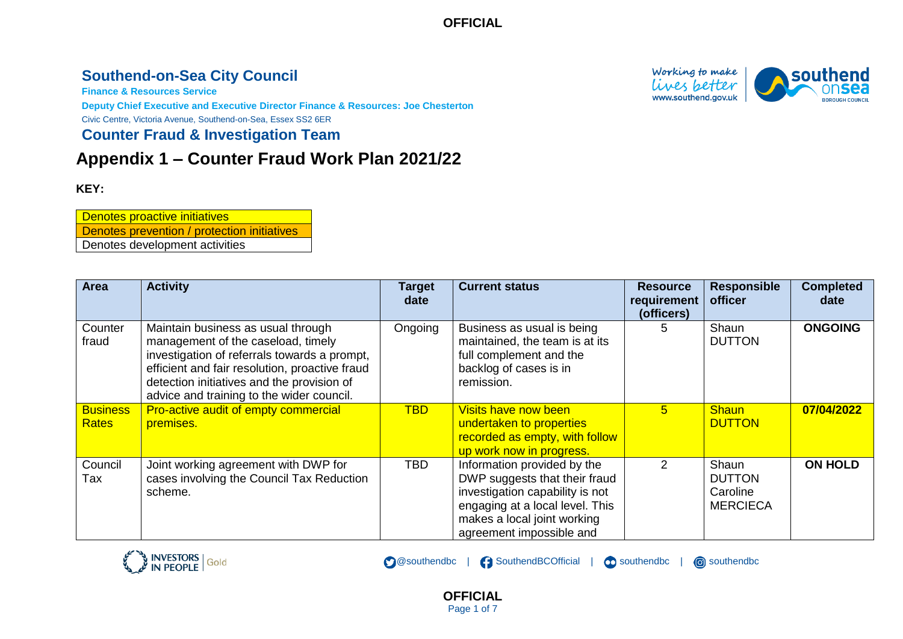## **Southend-on-Sea City Council**

**Finance & Resources Service**

**Deputy Chief Executive and Executive Director Finance & Resources: Joe Chesterton** Civic Centre, Victoria Avenue, Southend-on-Sea, Essex SS2 6ER

**Counter Fraud & Investigation Team**

# **Appendix 1 – Counter Fraud Work Plan 2021/22**

#### **KEY:**

Denotes proactive initiatives Denotes prevention / protection initiatives Denotes development activities

| <b>Area</b>                     | <b>Activity</b>                                                                                                                                                                                                                                                       | <b>Target</b><br>date | <b>Current status</b>                                                                                                                                                                         | <b>Resource</b><br>requirement<br>(officers) | <b>Responsible</b><br>officer                         | <b>Completed</b><br>date |
|---------------------------------|-----------------------------------------------------------------------------------------------------------------------------------------------------------------------------------------------------------------------------------------------------------------------|-----------------------|-----------------------------------------------------------------------------------------------------------------------------------------------------------------------------------------------|----------------------------------------------|-------------------------------------------------------|--------------------------|
| Counter<br>fraud                | Maintain business as usual through<br>management of the caseload, timely<br>investigation of referrals towards a prompt,<br>efficient and fair resolution, proactive fraud<br>detection initiatives and the provision of<br>advice and training to the wider council. | Ongoing               | Business as usual is being<br>maintained, the team is at its<br>full complement and the<br>backlog of cases is in<br>remission.                                                               | 5.                                           | Shaun<br><b>DUTTON</b>                                | <b>ONGOING</b>           |
| <b>Business</b><br><b>Rates</b> | Pro-active audit of empty commercial<br>premises.                                                                                                                                                                                                                     | <b>TBD</b>            | <b>Visits have now been</b><br>undertaken to properties<br>recorded as empty, with follow<br>up work now in progress.                                                                         | 5.                                           | <b>Shaun</b><br><b>DUTTON</b>                         | 07/04/2022               |
| Council<br>Tax                  | Joint working agreement with DWP for<br>cases involving the Council Tax Reduction<br>scheme.                                                                                                                                                                          | TBD                   | Information provided by the<br>DWP suggests that their fraud<br>investigation capability is not<br>engaging at a local level. This<br>makes a local joint working<br>agreement impossible and | $\mathcal{P}$                                | Shaun<br><b>DUTTON</b><br>Caroline<br><b>MERCIECA</b> | <b>ON HOLD</b>           |

**OFFICIAL** Page 1 of 7

SouthendBCOfficial |

southendbc |

southendbc

**@southendbc** 



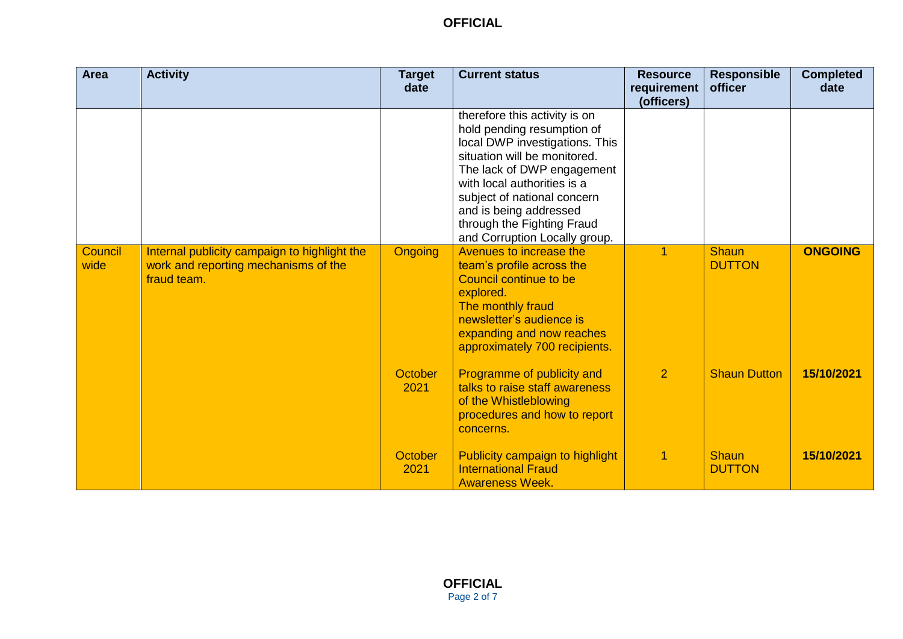| <b>Area</b>     | <b>Activity</b>                                                                                     | <b>Target</b><br>date  | <b>Current status</b>                                                                                                                                                                                                                                                                                              | <b>Resource</b><br>requirement<br>(officers) | <b>Responsible</b><br>officer | <b>Completed</b><br>date |
|-----------------|-----------------------------------------------------------------------------------------------------|------------------------|--------------------------------------------------------------------------------------------------------------------------------------------------------------------------------------------------------------------------------------------------------------------------------------------------------------------|----------------------------------------------|-------------------------------|--------------------------|
|                 |                                                                                                     |                        | therefore this activity is on<br>hold pending resumption of<br>local DWP investigations. This<br>situation will be monitored.<br>The lack of DWP engagement<br>with local authorities is a<br>subject of national concern<br>and is being addressed<br>through the Fighting Fraud<br>and Corruption Locally group. |                                              |                               |                          |
| Council<br>wide | Internal publicity campaign to highlight the<br>work and reporting mechanisms of the<br>fraud team. | <b>Ongoing</b>         | Avenues to increase the<br>team's profile across the<br>Council continue to be<br>explored.<br>The monthly fraud<br>newsletter's audience is<br>expanding and now reaches<br>approximately 700 recipients.                                                                                                         | 1                                            | <b>Shaun</b><br><b>DUTTON</b> | <b>ONGOING</b>           |
|                 |                                                                                                     | <b>October</b><br>2021 | Programme of publicity and<br>talks to raise staff awareness<br>of the Whistleblowing<br>procedures and how to report<br>concerns.                                                                                                                                                                                 | $\overline{2}$                               | <b>Shaun Dutton</b>           | 15/10/2021               |
|                 |                                                                                                     | October<br>2021        | Publicity campaign to highlight<br><b>International Fraud</b><br><b>Awareness Week.</b>                                                                                                                                                                                                                            |                                              | <b>Shaun</b><br><b>DUTTON</b> | 15/10/2021               |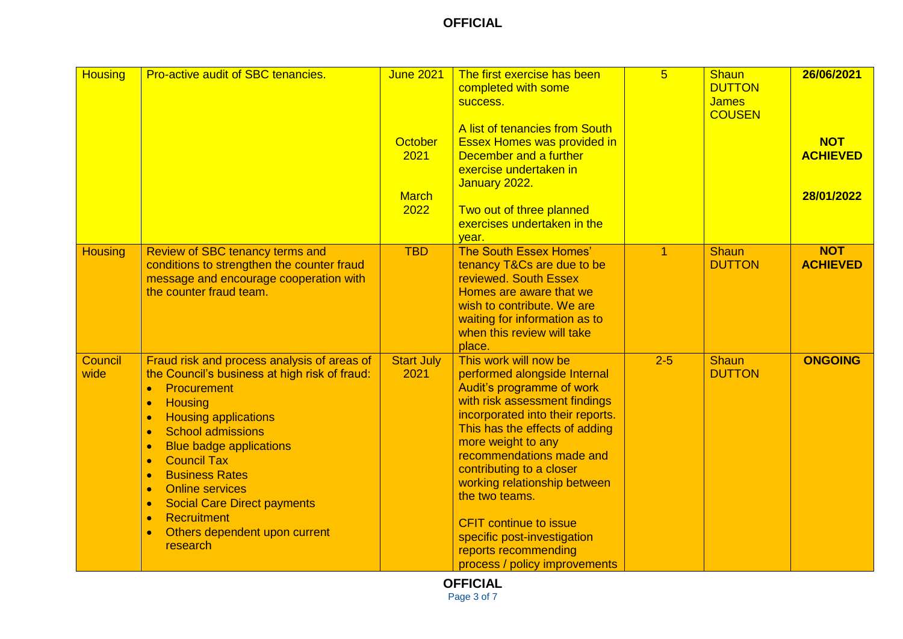| <b>Housing</b>  | <b>Pro-active audit of SBC tenancies.</b>                                                                                                                                                                                                                                                                                                                                                                                                                                     | <b>June 2021</b><br>October<br>2021<br><b>March</b><br>2022 | The first exercise has been<br>completed with some<br>success.<br>A list of tenancies from South<br><b>Essex Homes was provided in</b><br>December and a further<br>exercise undertaken in<br>January 2022.<br>Two out of three planned<br>exercises undertaken in the<br>year.                                                                                                                                                                    | 5 <sup>5</sup> | Shaun<br><b>DUTTON</b><br><b>James</b><br><b>COUSEN</b> | 26/06/2021<br><b>NOT</b><br><b>ACHIEVED</b><br>28/01/2022 |
|-----------------|-------------------------------------------------------------------------------------------------------------------------------------------------------------------------------------------------------------------------------------------------------------------------------------------------------------------------------------------------------------------------------------------------------------------------------------------------------------------------------|-------------------------------------------------------------|----------------------------------------------------------------------------------------------------------------------------------------------------------------------------------------------------------------------------------------------------------------------------------------------------------------------------------------------------------------------------------------------------------------------------------------------------|----------------|---------------------------------------------------------|-----------------------------------------------------------|
| <b>Housing</b>  | <b>Review of SBC tenancy terms and</b><br>conditions to strengthen the counter fraud<br>message and encourage cooperation with<br>the counter fraud team.                                                                                                                                                                                                                                                                                                                     | <b>TBD</b>                                                  | The South Essex Homes'<br>tenancy T&Cs are due to be<br>reviewed. South Essex<br>Homes are aware that we<br>wish to contribute. We are<br>waiting for information as to<br>when this review will take<br>place.                                                                                                                                                                                                                                    | $\mathbf{1}$   | <b>Shaun</b><br><b>DUTTON</b>                           | <b>NOT</b><br><b>ACHIEVED</b>                             |
| Council<br>wide | Fraud risk and process analysis of areas of<br>the Council's business at high risk of fraud:<br><b>Procurement</b><br>$\bullet$<br><b>Housing</b><br>$\bullet$<br><b>Housing applications</b><br><b>School admissions</b><br>$\bullet$<br><b>Blue badge applications</b><br><b>Council Tax</b><br>$\bullet$<br><b>Business Rates</b><br><b>Online services</b><br><b>Social Care Direct payments</b><br>Recruitment<br>$\bullet$<br>Others dependent upon current<br>research | <b>Start July</b><br>2021                                   | This work will now be<br>performed alongside Internal<br>Audit's programme of work<br>with risk assessment findings<br>incorporated into their reports.<br>This has the effects of adding<br>more weight to any<br>recommendations made and<br>contributing to a closer<br>working relationship between<br>the two teams.<br><b>CFIT continue to issue</b><br>specific post-investigation<br>reports recommending<br>process / policy improvements | $2 - 5$        | Shaun<br><b>DUTTON</b>                                  | <b>ONGOING</b>                                            |

**OFFICIAL**

Page 3 of 7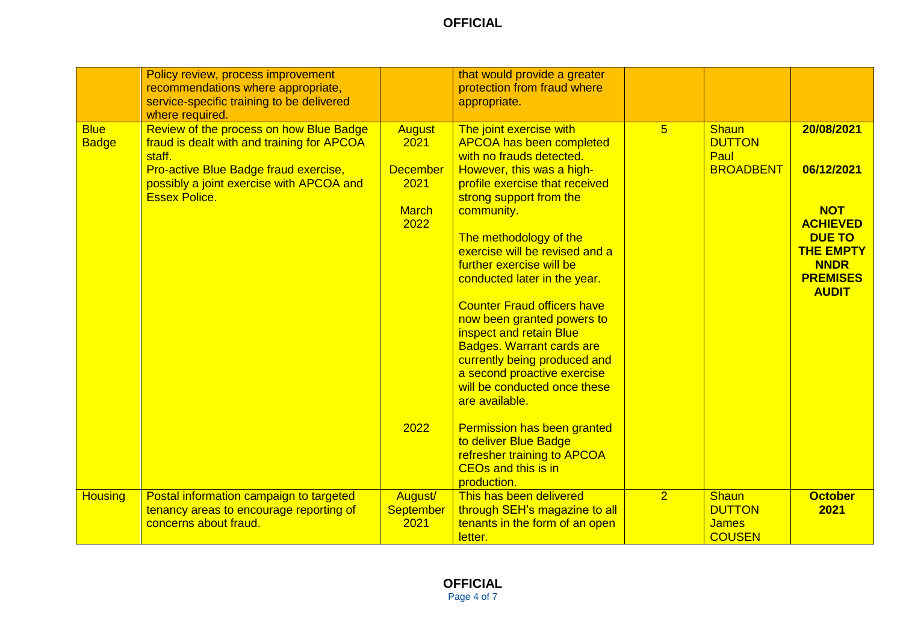|                             | Policy review, process improvement<br>recommendations where appropriate,<br>service-specific training to be delivered<br>where required.                                                                     |                                                                          | that would provide a greater<br>protection from fraud where<br>appropriate.                                                                                                                                                                                                                                                                                                                                                                                                                                                                                                |                |                                                                |                                                                                                                                                  |
|-----------------------------|--------------------------------------------------------------------------------------------------------------------------------------------------------------------------------------------------------------|--------------------------------------------------------------------------|----------------------------------------------------------------------------------------------------------------------------------------------------------------------------------------------------------------------------------------------------------------------------------------------------------------------------------------------------------------------------------------------------------------------------------------------------------------------------------------------------------------------------------------------------------------------------|----------------|----------------------------------------------------------------|--------------------------------------------------------------------------------------------------------------------------------------------------|
| <b>Blue</b><br><b>Badge</b> | Review of the process on how Blue Badge<br>fraud is dealt with and training for APCOA<br>staff.<br>Pro-active Blue Badge fraud exercise,<br>possibly a joint exercise with APCOA and<br><b>Essex Police.</b> | <b>August</b><br>2021<br><b>December</b><br>2021<br><b>March</b><br>2022 | The joint exercise with<br><b>APCOA has been completed</b><br>with no frauds detected.<br>However, this was a high-<br>profile exercise that received<br>strong support from the<br>community.<br>The methodology of the<br>exercise will be revised and a<br>further exercise will be<br>conducted later in the year.<br><b>Counter Fraud officers have</b><br>now been granted powers to<br>inspect and retain Blue<br><b>Badges. Warrant cards are</b><br>currently being produced and<br>a second proactive exercise<br>will be conducted once these<br>are available. | $\overline{5}$ | <b>Shaun</b><br><b>DUTTON</b><br>Paul<br><b>BROADBENT</b>      | 20/08/2021<br>06/12/2021<br><b>NOT</b><br><b>ACHIEVED</b><br><b>DUE TO</b><br><b>THE EMPTY</b><br><b>NNDR</b><br><b>PREMISES</b><br><b>AUDIT</b> |
|                             |                                                                                                                                                                                                              | 2022                                                                     | <b>Permission has been granted</b><br>to deliver Blue Badge<br>refresher training to APCOA<br><b>CEOs and this is in</b><br>production.                                                                                                                                                                                                                                                                                                                                                                                                                                    |                |                                                                |                                                                                                                                                  |
| <b>Housing</b>              | Postal information campaign to targeted<br>tenancy areas to encourage reporting of<br>concerns about fraud.                                                                                                  | August/<br><b>September</b><br>2021                                      | This has been delivered<br>through SEH's magazine to all<br>tenants in the form of an open<br>letter.                                                                                                                                                                                                                                                                                                                                                                                                                                                                      | $\overline{2}$ | <b>Shaun</b><br><b>DUTTON</b><br><b>James</b><br><b>COUSEN</b> | <b>October</b><br>2021                                                                                                                           |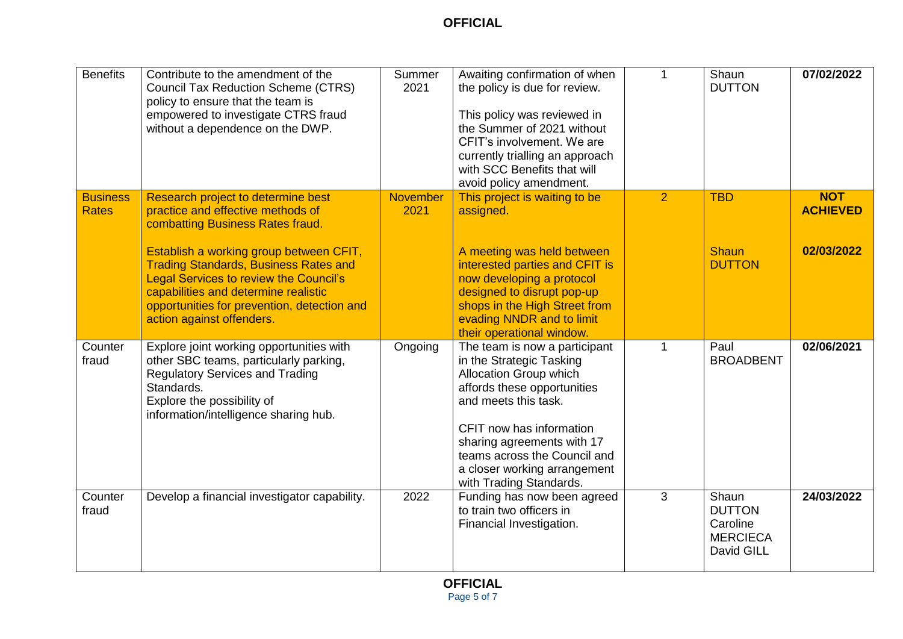| <b>Benefits</b>                 | Contribute to the amendment of the<br><b>Council Tax Reduction Scheme (CTRS)</b><br>policy to ensure that the team is<br>empowered to investigate CTRS fraud<br>without a dependence on the DWP.                                                                                                                                                                            | Summer<br>2021          | Awaiting confirmation of when<br>the policy is due for review.<br>This policy was reviewed in<br>the Summer of 2021 without<br>CFIT's involvement. We are<br>currently trialling an approach<br>with SCC Benefits that will<br>avoid policy amendment.                                          | 1              | Shaun<br><b>DUTTON</b>                                              | 07/02/2022                                  |
|---------------------------------|-----------------------------------------------------------------------------------------------------------------------------------------------------------------------------------------------------------------------------------------------------------------------------------------------------------------------------------------------------------------------------|-------------------------|-------------------------------------------------------------------------------------------------------------------------------------------------------------------------------------------------------------------------------------------------------------------------------------------------|----------------|---------------------------------------------------------------------|---------------------------------------------|
| <b>Business</b><br><b>Rates</b> | Research project to determine best<br>practice and effective methods of<br>combatting Business Rates fraud.<br>Establish a working group between CFIT,<br><b>Trading Standards, Business Rates and</b><br><b>Legal Services to review the Council's</b><br>capabilities and determine realistic<br>opportunities for prevention, detection and<br>action against offenders. | <b>November</b><br>2021 | This project is waiting to be<br>assigned.<br>A meeting was held between<br>interested parties and CFIT is<br>now developing a protocol<br>designed to disrupt pop-up<br>shops in the High Street from<br>evading NNDR and to limit<br>their operational window.                                | $\overline{2}$ | <b>TBD</b><br><b>Shaun</b><br><b>DUTTON</b>                         | <b>NOT</b><br><b>ACHIEVED</b><br>02/03/2022 |
| Counter<br>fraud                | Explore joint working opportunities with<br>other SBC teams, particularly parking,<br><b>Regulatory Services and Trading</b><br>Standards.<br>Explore the possibility of<br>information/intelligence sharing hub.                                                                                                                                                           | Ongoing                 | The team is now a participant<br>in the Strategic Tasking<br>Allocation Group which<br>affords these opportunities<br>and meets this task.<br>CFIT now has information<br>sharing agreements with 17<br>teams across the Council and<br>a closer working arrangement<br>with Trading Standards. | 1              | Paul<br><b>BROADBENT</b>                                            | 02/06/2021                                  |
| Counter<br>fraud                | Develop a financial investigator capability.                                                                                                                                                                                                                                                                                                                                | 2022                    | Funding has now been agreed<br>to train two officers in<br>Financial Investigation.                                                                                                                                                                                                             | 3              | Shaun<br><b>DUTTON</b><br>Caroline<br><b>MERCIECA</b><br>David GILL | 24/03/2022                                  |

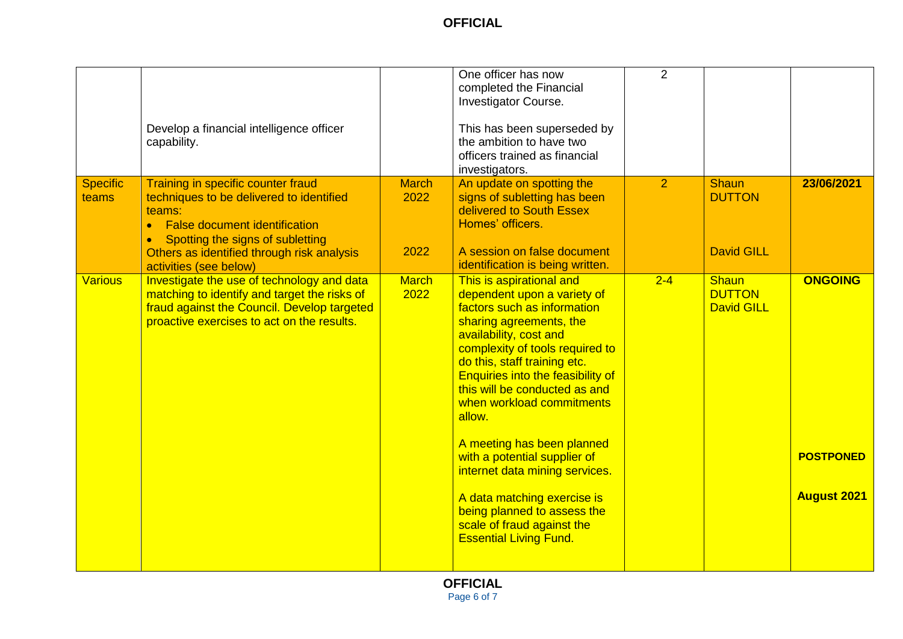|                          | Develop a financial intelligence officer<br>capability.                                                                                                                                                                                 |                              | One officer has now<br>completed the Financial<br>Investigator Course.<br>This has been superseded by<br>the ambition to have two<br>officers trained as financial<br>investigators.                                                                                                                                                                                                                                                                                                                                                                            | $\overline{2}$ |                                                    |                                                          |
|--------------------------|-----------------------------------------------------------------------------------------------------------------------------------------------------------------------------------------------------------------------------------------|------------------------------|-----------------------------------------------------------------------------------------------------------------------------------------------------------------------------------------------------------------------------------------------------------------------------------------------------------------------------------------------------------------------------------------------------------------------------------------------------------------------------------------------------------------------------------------------------------------|----------------|----------------------------------------------------|----------------------------------------------------------|
| <b>Specific</b><br>teams | Training in specific counter fraud<br>techniques to be delivered to identified<br>teams:<br>• False document identification<br>Spotting the signs of subletting<br>Others as identified through risk analysis<br>activities (see below) | <b>March</b><br>2022<br>2022 | An update on spotting the<br>signs of subletting has been<br>delivered to South Essex<br>Homes' officers.<br>A session on false document<br>identification is being written.                                                                                                                                                                                                                                                                                                                                                                                    | $\overline{2}$ | <b>Shaun</b><br><b>DUTTON</b><br><b>David GILL</b> | 23/06/2021                                               |
| <b>Various</b>           | Investigate the use of technology and data<br>matching to identify and target the risks of<br>fraud against the Council. Develop targeted<br>proactive exercises to act on the results.                                                 | <b>March</b><br>2022         | This is aspirational and<br>dependent upon a variety of<br>factors such as information<br>sharing agreements, the<br>availability, cost and<br>complexity of tools required to<br>do this, staff training etc.<br><b>Enquiries into the feasibility of</b><br>this will be conducted as and<br>when workload commitments<br>allow.<br>A meeting has been planned<br>with a potential supplier of<br>internet data mining services.<br>A data matching exercise is<br>being planned to assess the<br>scale of fraud against the<br><b>Essential Living Fund.</b> | $2 - 4$        | <b>Shaun</b><br><b>DUTTON</b><br><b>David GILL</b> | <b>ONGOING</b><br><b>POSTPONED</b><br><b>August 2021</b> |